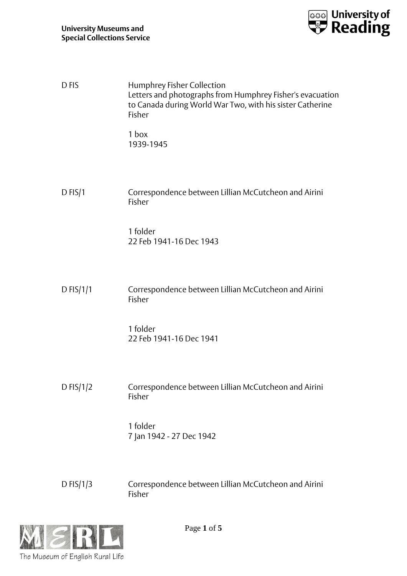

| D <sub>FIS</sub> | Humphrey Fisher Collection<br>Letters and photographs from Humphrey Fisher's evacuation<br>to Canada during World War Two, with his sister Catherine<br>Fisher |
|------------------|----------------------------------------------------------------------------------------------------------------------------------------------------------------|
|                  | 1 box<br>1939-1945                                                                                                                                             |
| $D$ FIS/1        | Correspondence between Lillian McCutcheon and Airini<br>Fisher                                                                                                 |
|                  | 1 folder<br>22 Feb 1941-16 Dec 1943                                                                                                                            |
| D FIS/ $1/1$     | Correspondence between Lillian McCutcheon and Airini<br>Fisher                                                                                                 |
|                  | 1 folder<br>22 Feb 1941-16 Dec 1941                                                                                                                            |
| DFIS/ $1/2$      | Correspondence between Lillian McCutcheon and Airini<br>Fisher                                                                                                 |
|                  | 1 folder<br>7 Jan 1942 - 27 Dec 1942                                                                                                                           |
| D FIS/1/3        | Correspondence between Lillian McCutcheon and Airini<br>Fisher                                                                                                 |



Page **1** of **5**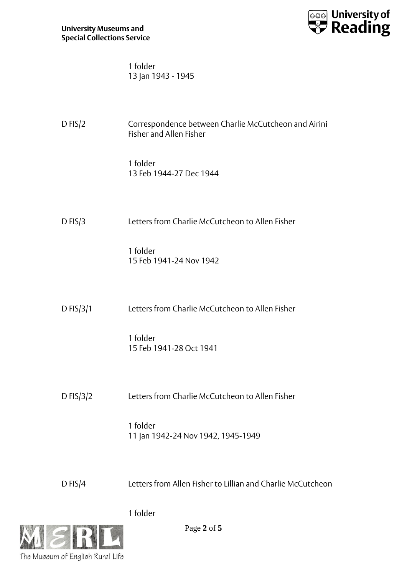

| 1 folder           |  |
|--------------------|--|
| 13 Jan 1943 - 1945 |  |

| $D$ FIS/2   | Correspondence between Charlie McCutcheon and Airini<br><b>Fisher and Allen Fisher</b> |
|-------------|----------------------------------------------------------------------------------------|
|             | 1 folder<br>13 Feb 1944-27 Dec 1944                                                    |
| $D$ FIS/3   | Letters from Charlie McCutcheon to Allen Fisher                                        |
|             | 1 folder<br>15 Feb 1941-24 Nov 1942                                                    |
| D $FIS/3/1$ | Letters from Charlie McCutcheon to Allen Fisher                                        |
|             | 1 folder<br>15 Feb 1941-28 Oct 1941                                                    |
| D $FIS/3/2$ | Letters from Charlie McCutcheon to Allen Fisher                                        |
|             | 1 folder<br>11 Jan 1942-24 Nov 1942, 1945-1949                                         |
| $D$ FIS/4   | Letters from Allen Fisher to Lillian and Charlie McCutcheon                            |

1 folder



Page **2** of **5**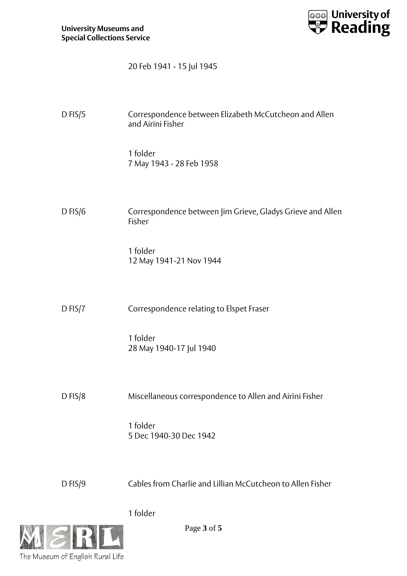

20 Feb 1941 - 15 Jul 1945

| $D$ FIS/5 | Correspondence between Elizabeth McCutcheon and Allen<br>and Airini Fisher |
|-----------|----------------------------------------------------------------------------|
|           | 1 folder<br>7 May 1943 - 28 Feb 1958                                       |
| $D$ FIS/6 | Correspondence between Jim Grieve, Gladys Grieve and Allen<br>Fisher       |
|           | 1 folder<br>12 May 1941-21 Nov 1944                                        |
| $D$ FIS/7 | Correspondence relating to Elspet Fraser                                   |
|           | 1 folder<br>28 May 1940-17 Jul 1940                                        |
| $D$ FIS/8 | Miscellaneous correspondence to Allen and Airini Fisher                    |
|           | 1 folder<br>5 Dec 1940-30 Dec 1942                                         |
| $D$ FIS/9 | Cables from Charlie and Lillian McCutcheon to Allen Fisher                 |

1 folder



Page **3** of **5**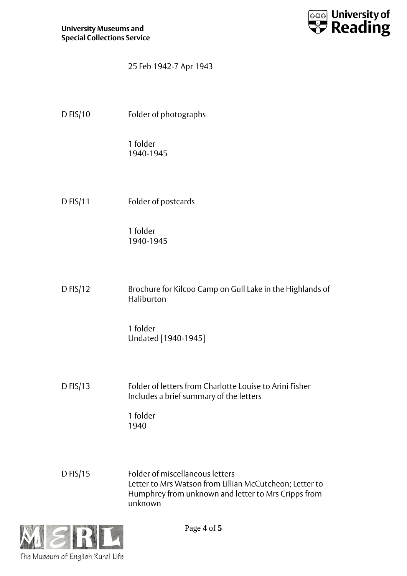

## 25 Feb 1942-7 Apr 1943

D FIS/10 Folder of photographs

1 folder 1940-1945

D FIS/11 Folder of postcards

1 folder 1940-1945

D FIS/12 Brochure for Kilcoo Camp on Gull Lake in the Highlands of Haliburton

> 1 folder Undated [1940-1945]

D FIS/13 Folder of letters from Charlotte Louise to Arini Fisher Includes a brief summary of the letters

> 1 folder 1940

D FIS/15 Folder of miscellaneous letters Letter to Mrs Watson from Lillian McCutcheon; Letter to Humphrey from unknown and letter to Mrs Cripps from unknown



Page **4** of **5**